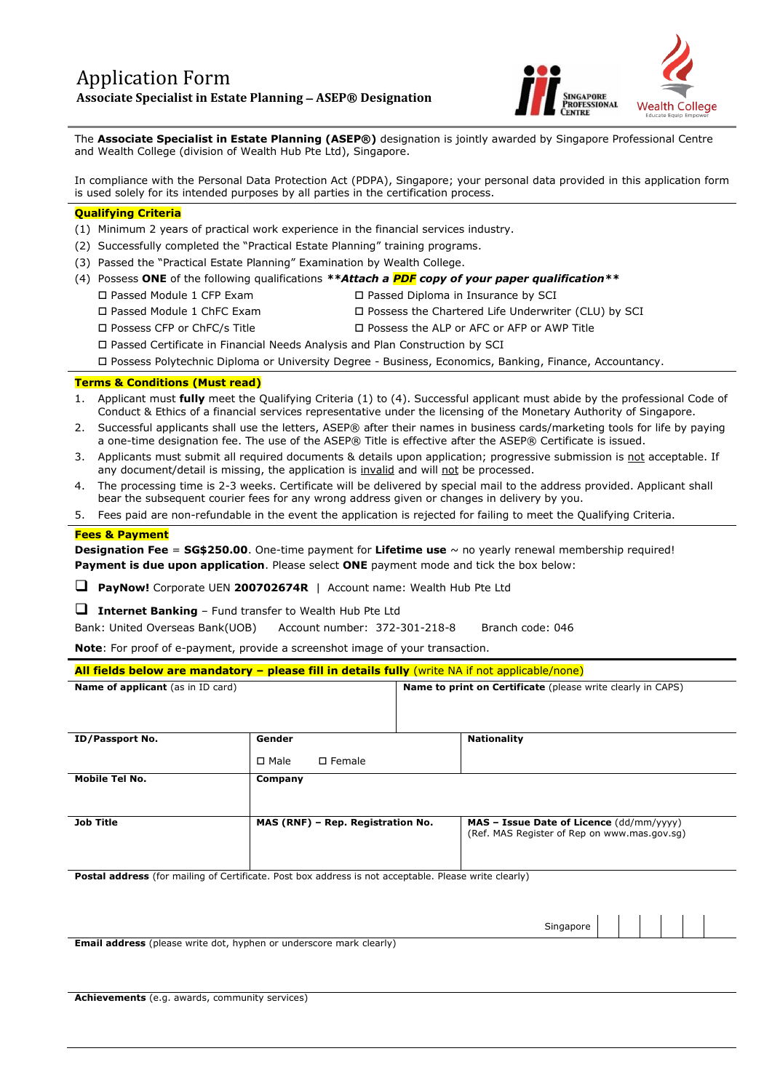

The **Associate Specialist in Estate Planning (ASEP®)** designation is jointly awarded by Singapore Professional Centre and Wealth College (division of Wealth Hub Pte Ltd), Singapore.

In compliance with the Personal Data Protection Act (PDPA), Singapore; your personal data provided in this application form is used solely for its intended purposes by all parties in the certification process.

### **Qualifying Criteria**

- (1) Minimum 2 years of practical work experience in the financial services industry.
- (2) Successfully completed the "Practical Estate Planning" training programs.
- (3) Passed the "Practical Estate Planning" Examination by Wealth College.
- (4) Possess **ONE** of the following qualifications *\*\*Attach a PDF copy of your paper qualification\*\**
	-
	- Passed Module 1 CFP Exam Passed Diploma in Insurance by SCI
	- Passed Module 1 ChFC Exam Possess the Chartered Life Underwriter (CLU) by SCI
	-
	- Possess CFP or ChFC/s Title Possess the ALP or AFC or AFP or AWP Title
	- Passed Certificate in Financial Needs Analysis and Plan Construction by SCI

Possess Polytechnic Diploma or University Degree - Business, Economics, Banking, Finance, Accountancy.

### **Terms & Conditions (Must read)**

- 1. Applicant must **fully** meet the Qualifying Criteria (1) to (4). Successful applicant must abide by the professional Code of Conduct & Ethics of a financial services representative under the licensing of the Monetary Authority of Singapore.
- 2. Successful applicants shall use the letters, ASEP® after their names in business cards/marketing tools for life by paying a one-time designation fee. The use of the ASEP® Title is effective after the ASEP® Certificate is issued.
- 3. Applicants must submit all required documents & details upon application; progressive submission is not acceptable. If any document/detail is missing, the application is invalid and will not be processed.
- 4. The processing time is 2-3 weeks. Certificate will be delivered by special mail to the address provided. Applicant shall bear the subsequent courier fees for any wrong address given or changes in delivery by you.
- 5. Fees paid are non-refundable in the event the application is rejected for failing to meet the Qualifying Criteria.

### **Fees & Payment**

**Designation Fee** = **SG\$250.00**. One-time payment for **Lifetime use** ~ no yearly renewal membership required! **Payment is due upon application**. Please select **ONE** payment mode and tick the box below:

❑ **PayNow!** Corporate UEN **200702674R** | Account name: Wealth Hub Pte Ltd

❑ **Internet Banking** – Fund transfer to Wealth Hub Pte Ltd

Bank: United Overseas Bank(UOB) Account number: 372-301-218-8 Branch code: 046

**Note**: For proof of e-payment, provide a screenshot image of your transaction.

# **All fields below are mandatory – please fill in details fully** (write NA if not applicable/none)

| <b>Name of applicant</b> (as in ID card)                                                                     |                                    | <b>Name to print on Certificate</b> (please write clearly in CAPS)                       |
|--------------------------------------------------------------------------------------------------------------|------------------------------------|------------------------------------------------------------------------------------------|
| ID/Passport No.                                                                                              | Gender                             | <b>Nationality</b>                                                                       |
|                                                                                                              | $\square$ Male<br>$\square$ Female |                                                                                          |
| Mobile Tel No.                                                                                               | Company                            |                                                                                          |
| <b>Job Title</b>                                                                                             | MAS (RNF) - Rep. Registration No.  | MAS - Issue Date of Licence (dd/mm/yyyy)<br>(Ref. MAS Register of Rep on www.mas.gov.sg) |
| <b>Postal address</b> (for mailing of Certificate. Post box address is not acceptable. Please write clearly) |                                    |                                                                                          |

**Email address** (please write dot, hyphen or underscore mark clearly)

Singapore

**Achievements** (e.g. awards, community services)